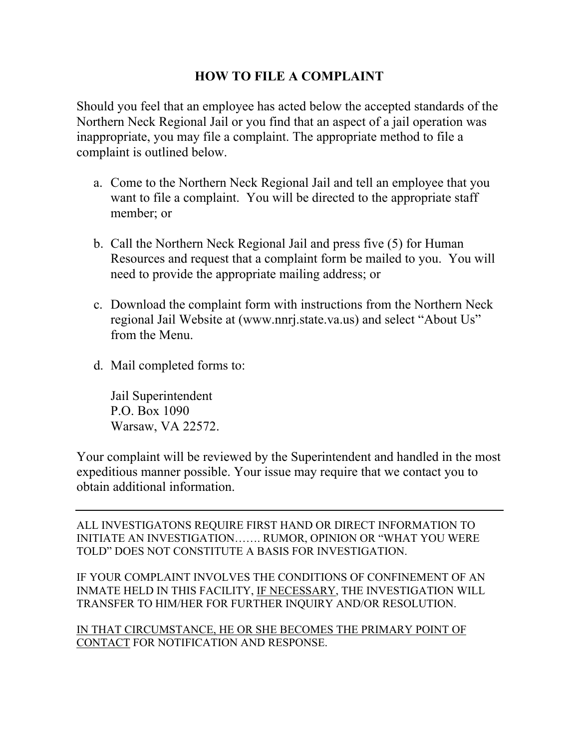## **HOW TO FILE A COMPLAINT**

Should you feel that an employee has acted below the accepted standards of the Northern Neck Regional Jail or you find that an aspect of a jail operation was inappropriate, you may file a complaint. The appropriate method to file a complaint is outlined below.

- a. Come to the Northern Neck Regional Jail and tell an employee that you want to file a complaint. You will be directed to the appropriate staff member; or
- b. Call the Northern Neck Regional Jail and press five (5) for Human Resources and request that a complaint form be mailed to you. You will need to provide the appropriate mailing address; or
- c. Download the complaint form with instructions from the Northern Neck regional Jail Website at (www.nnrj.state.va.us) and select "About Us" from the Menu.
- d. Mail completed forms to:

Jail Superintendent P.O. Box 1090 Warsaw, VA 22572.

Your complaint will be reviewed by the Superintendent and handled in the most expeditious manner possible. Your issue may require that we contact you to obtain additional information.

ALL INVESTIGATONS REQUIRE FIRST HAND OR DIRECT INFORMATION TO INITIATE AN INVESTIGATION……. RUMOR, OPINION OR "WHAT YOU WERE TOLD" DOES NOT CONSTITUTE A BASIS FOR INVESTIGATION.

IF YOUR COMPLAINT INVOLVES THE CONDITIONS OF CONFINEMENT OF AN INMATE HELD IN THIS FACILITY, IF NECESSARY, THE INVESTIGATION WILL TRANSFER TO HIM/HER FOR FURTHER INQUIRY AND/OR RESOLUTION.

IN THAT CIRCUMSTANCE, HE OR SHE BECOMES THE PRIMARY POINT OF CONTACT FOR NOTIFICATION AND RESPONSE.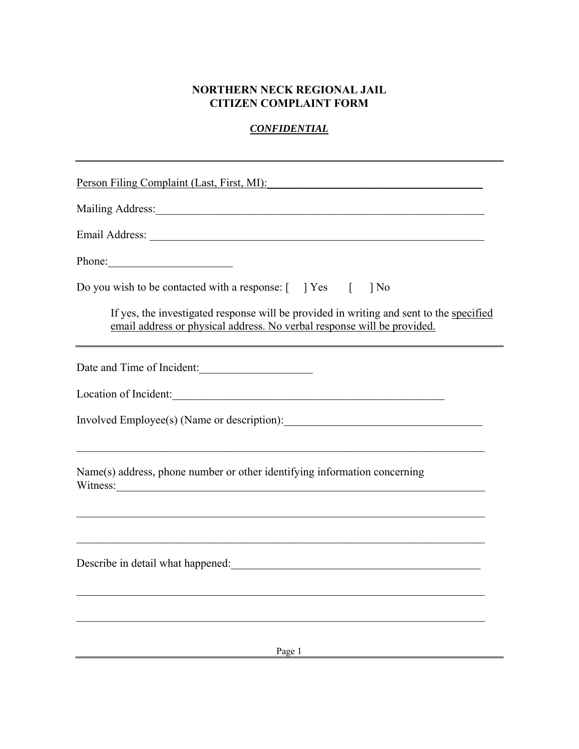## **NORTHERN NECK REGIONAL JAIL CITIZEN COMPLAINT FORM**

## *CONFIDENTIAL*

| Person Filing Complaint (Last, First, MI):                                                                                                                                                                                     |
|--------------------------------------------------------------------------------------------------------------------------------------------------------------------------------------------------------------------------------|
|                                                                                                                                                                                                                                |
|                                                                                                                                                                                                                                |
| Phone:                                                                                                                                                                                                                         |
| Do you wish to be contacted with a response: $\begin{bmatrix} \quad \end{bmatrix} Yes \quad \begin{bmatrix} \quad \end{bmatrix}$<br>$\log$                                                                                     |
| If yes, the investigated response will be provided in writing and sent to the specified<br>email address or physical address. No verbal response will be provided.                                                             |
| Date and Time of Incident:                                                                                                                                                                                                     |
| Location of Incident:                                                                                                                                                                                                          |
|                                                                                                                                                                                                                                |
| Name(s) address, phone number or other identifying information concerning<br>Witness:<br><u> 1989 - Johann John Stone, mars eta bainar eta bainar eta baina eta baina eta baina eta baina eta baina eta b</u>                  |
|                                                                                                                                                                                                                                |
| Describe in detail what happened: Notice of the contract of the contract of the contract of the contract of the contract of the contract of the contract of the contract of the contract of the contract of the contract of th |
|                                                                                                                                                                                                                                |
| Page 1                                                                                                                                                                                                                         |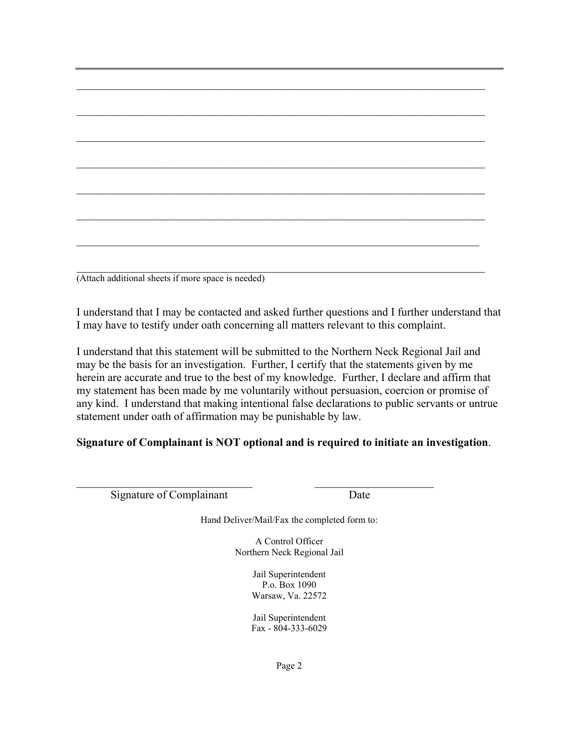| (Attach additional sheets if more space is needed) |  |  |  |
|----------------------------------------------------|--|--|--|

I understand that I may be contacted and asked further questions and I further understand that I may have to testify under oath concerning all matters relevant to this complaint.

I understand that this statement will be submitted to the Northern Neck Regional Jail and may be the basis for an investigation. Further, I certify that the statements given by me herein are accurate and true to the best of my knowledge. Further, I declare and affirm that my statement has been made by me voluntarily without persuasion, coercion or promise of any kind. I understand that making intentional false declarations to public servants or untrue statement under oath of affirmation may be punishable by law.

## **Signature of Complainant is NOT optional and is required to initiate an investigation**.

Signature of Complainant Date

Hand Deliver/Mail/Fax the completed form to:

A Control Officer Northern Neck Regional Jail

> Jail Superintendent P.o. Box 1090 Warsaw, Va. 22572

Jail Superintendent Fax - 804-333-6029